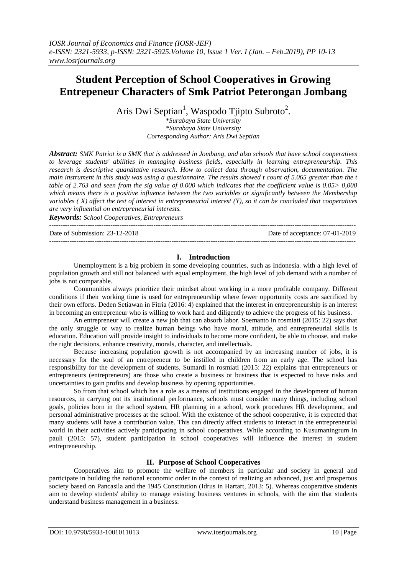# **Student Perception of School Cooperatives in Growing Entrepeneur Characters of Smk Patriot Peterongan Jombang**

Aris Dwi Septian<sup>1</sup>, Waspodo Tjipto Subroto<sup>2</sup>.

\**Surabaya State University \*Surabaya State University Corresponding Author: Aris Dwi Septian*

*Abstract: SMK Patriot is a SMK that is addressed in Jombang, and also schools that have school cooperatives to leverage students' abilities in managing business fields, especially in learning entrepreneurship. This research is descriptive quantitative research. How to collect data through observation, documentation. The main instrument in this study was using a questionnaire. The results showed t count of 5.065 greater than the t table of 2.763 and seen from the sig value of 0.000 which indicates that the coefficient value is 0.05> 0,000 which means there is a positive influence between the two variables or significantly between the Membership variables ( X) affect the test of interest in entrepreneurial interest (Y), so it can be concluded that cooperatives are very influential on entrepreneurial interests.*

*Keywords: School Cooperatives, Entrepreneurs*

Date of Submission: 23-12-2018 Date of acceptance: 07-01-2019

#### ---------------------------------------------------------------------------------------------------------------------------------------

## **I. Introduction**

---------------------------------------------------------------------------------------------------------------------------------------

Unemployment is a big problem in some developing countries, such as Indonesia. with a high level of population growth and still not balanced with equal employment, the high level of job demand with a number of jobs is not comparable.

Communities always prioritize their mindset about working in a more profitable company. Different conditions if their working time is used for entrepreneurship where fewer opportunity costs are sacrificed by their own efforts. Deden Setiawan in Fitria (2016: 4) explained that the interest in entrepreneurship is an interest in becoming an entrepreneur who is willing to work hard and diligently to achieve the progress of his business.

An entrepreneur will create a new job that can absorb labor. Soemanto in rosmiati (2015: 22) says that the only struggle or way to realize human beings who have moral, attitude, and entrepreneurial skills is education. Education will provide insight to individuals to become more confident, be able to choose, and make the right decisions, enhance creativity, morals, character, and intellectuals.

Because increasing population growth is not accompanied by an increasing number of jobs, it is necessary for the soul of an entrepreneur to be instilled in children from an early age. The school has responsibility for the development of students. Sumardi in rosmiati (2015: 22) explains that entrepreneurs or entrepreneurs (entrepreneurs) are those who create a business or business that is expected to have risks and uncertainties to gain profits and develop business by opening opportunities.

So from that school which has a role as a means of institutions engaged in the development of human resources, in carrying out its institutional performance, schools must consider many things, including school goals, policies born in the school system, HR planning in a school, work procedures HR development, and personal administrative processes at the school. With the existence of the school cooperative, it is expected that many students will have a contribution value. This can directly affect students to interact in the entrepreneurial world in their activities actively participating in school cooperatives. While according to Kusumaningrum in pauli (2015: 57), student participation in school cooperatives will influence the interest in student entrepreneurship.

## **II. Purpose of School Cooperatives**

Cooperatives aim to promote the welfare of members in particular and society in general and participate in building the national economic order in the context of realizing an advanced, just and prosperous society based on Pancasila and the 1945 Constitution (Idrus in Hartart, 2013: 5). Whereas cooperative students aim to develop students' ability to manage existing business ventures in schools, with the aim that students understand business management in a business: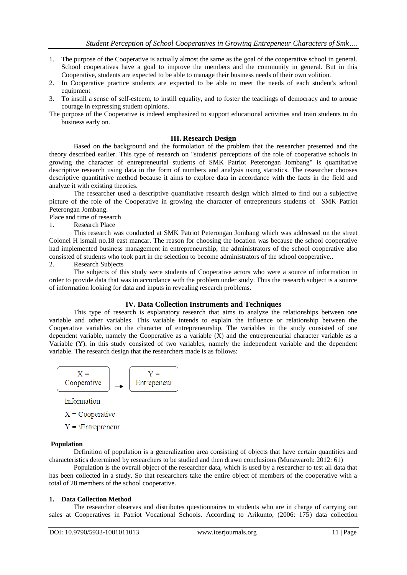- 1. The purpose of the Cooperative is actually almost the same as the goal of the cooperative school in general. School cooperatives have a goal to improve the members and the community in general. But in this Cooperative, students are expected to be able to manage their business needs of their own volition.
- 2. In Cooperative practice students are expected to be able to meet the needs of each student's school equipment
- 3. To instill a sense of self-esteem, to instill equality, and to foster the teachings of democracy and to arouse courage in expressing student opinions.
- The purpose of the Cooperative is indeed emphasized to support educational activities and train students to do business early on.

## **III. Research Design**

Based on the background and the formulation of the problem that the researcher presented and the theory described earlier. This type of research on "students' perceptions of the role of cooperative schools in growing the character of entrepreneurial students of SMK Patriot Peterongan Jombang" is quantitative descriptive research using data in the form of numbers and analysis using statistics. The researcher chooses descriptive quantitative method because it aims to explore data in accordance with the facts in the field and analyze it with existing theories.

The researcher used a descriptive quantitative research design which aimed to find out a subjective picture of the role of the Cooperative in growing the character of entrepreneurs students of SMK Patriot Peterongan Jombang.

Place and time of research

1. Research Place

This research was conducted at SMK Patriot Peterongan Jombang which was addressed on the street Colonel H ismail no.18 east mancar. The reason for choosing the location was because the school cooperative had implemented business management in entrepreneurship, the administrators of the school cooperative also consisted of students who took part in the selection to become administrators of the school cooperative..

2. Research Subjects

The subjects of this study were students of Cooperative actors who were a source of information in order to provide data that was in accordance with the problem under study. Thus the research subject is a source of information looking for data and inputs in revealing research problems.

#### **IV. Data Collection Instruments and Techniques**

This type of research is explanatory research that aims to analyze the relationships between one variable and other variables. This variable intends to explain the influence or relationship between the Cooperative variables on the character of entrepreneurship. The variables in the study consisted of one dependent variable, namely the Cooperative as a variable (X) and the entrepreneurial character variable as a Variable (Y). in this study consisted of two variables, namely the independent variable and the dependent variable. The research design that the researchers made is as follows:



Information

 $X =$ Cooperative

 $Y = \Epsilon$ 

#### **Population**

Definition of population is a generalization area consisting of objects that have certain quantities and characteristics determined by researchers to be studied and then drawn conclusions (Munawaroh: 2012: 61)

Population is the overall object of the researcher data, which is used by a researcher to test all data that has been collected in a study. So that researchers take the entire object of members of the cooperative with a total of 28 members of the school cooperative.

#### **1. Data Collection Method**

The researcher observes and distributes questionnaires to students who are in charge of carrying out sales at Cooperatives in Patriot Vocational Schools. According to Arikunto, (2006: 175) data collection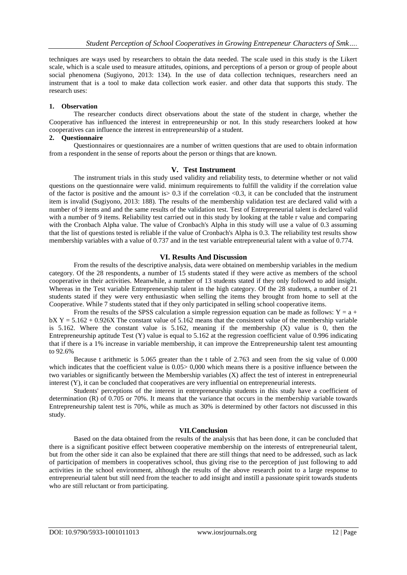techniques are ways used by researchers to obtain the data needed. The scale used in this study is the Likert scale, which is a scale used to measure attitudes, opinions, and perceptions of a person or group of people about social phenomena (Sugiyono, 2013: 134). In the use of data collection techniques, researchers need an instrument that is a tool to make data collection work easier. and other data that supports this study. The research uses:

# **1. Observation**

The researcher conducts direct observations about the state of the student in charge, whether the Cooperative has influenced the interest in entrepreneurship or not. In this study researchers looked at how cooperatives can influence the interest in entrepreneurship of a student.

## **2. Questionnaire**

Questionnaires or questionnaires are a number of written questions that are used to obtain information from a respondent in the sense of reports about the person or things that are known.

## **V. Test Instrument**

The instrument trials in this study used validity and reliability tests, to determine whether or not valid questions on the questionnaire were valid. minimum requirements to fulfill the validity if the correlation value of the factor is positive and the amount is  $> 0.3$  if the correlation  $< 0.3$ , it can be concluded that the instrument item is invalid (Sugiyono, 2013: 188). The results of the membership validation test are declared valid with a number of 9 items and and the same results of the validation test. Test of Entrepreneurial talent is declared valid with a number of 9 items. Reliability test carried out in this study by looking at the table r value and comparing with the Cronbach Alpha value. The value of Cronbach's Alpha in this study will use a value of 0.3 assuming that the list of questions tested is reliable if the value of Cronbach's Alpha is 0.3. The reliability test results show membership variables with a value of 0.737 and in the test variable entrepreneurial talent with a value of 0.774.

# **VI. Results And Discussion**

From the results of the descriptive analysis, data were obtained on membership variables in the medium category. Of the 28 respondents, a number of 15 students stated if they were active as members of the school cooperative in their activities. Meanwhile, a number of 13 students stated if they only followed to add insight. Whereas in the Test variable Entrepreneurship talent in the high category. Of the 28 students, a number of 21 students stated if they were very enthusiastic when selling the items they brought from home to sell at the Cooperative. While 7 students stated that if they only participated in selling school cooperative items.

From the results of the SPSS calculation a simple regression equation can be made as follows:  $Y = a +$  $bX Y = 5.162 + 0.926X$  The constant value of 5.162 means that the consistent value of the membership variable is 5.162. Where the constant value is 5.162, meaning if the membership (X) value is 0, then the Entrepreneurship aptitude Test  $(Y)$  value is equal to 5.162 at the regression coefficient value of 0.996 indicating that if there is a 1% increase in variable membership, it can improve the Entrepreneurship talent test amounting to 92.6%

Because t arithmetic is 5.065 greater than the t table of 2.763 and seen from the sig value of 0.000 which indicates that the coefficient value is  $0.05 > 0,000$  which means there is a positive influence between the two variables or significantly between the Membership variables (X) affect the test of interest in entrepreneurial interest (Y), it can be concluded that cooperatives are very influential on entrepreneurial interests.

Students' perceptions of the interest in entrepreneurship students in this study have a coefficient of determination (R) of 0.705 or 70%. It means that the variance that occurs in the membership variable towards Entrepreneurship talent test is 70%, while as much as 30% is determined by other factors not discussed in this study.

## **VII.Conclusion**

Based on the data obtained from the results of the analysis that has been done, it can be concluded that there is a significant positive effect between cooperative membership on the interests of entrepreneurial talent, but from the other side it can also be explained that there are still things that need to be addressed, such as lack of participation of members in cooperatives school, thus giving rise to the perception of just following to add activities in the school environment, although the results of the above research point to a large response to entrepreneurial talent but still need from the teacher to add insight and instill a passionate spirit towards students who are still reluctant or from participating.